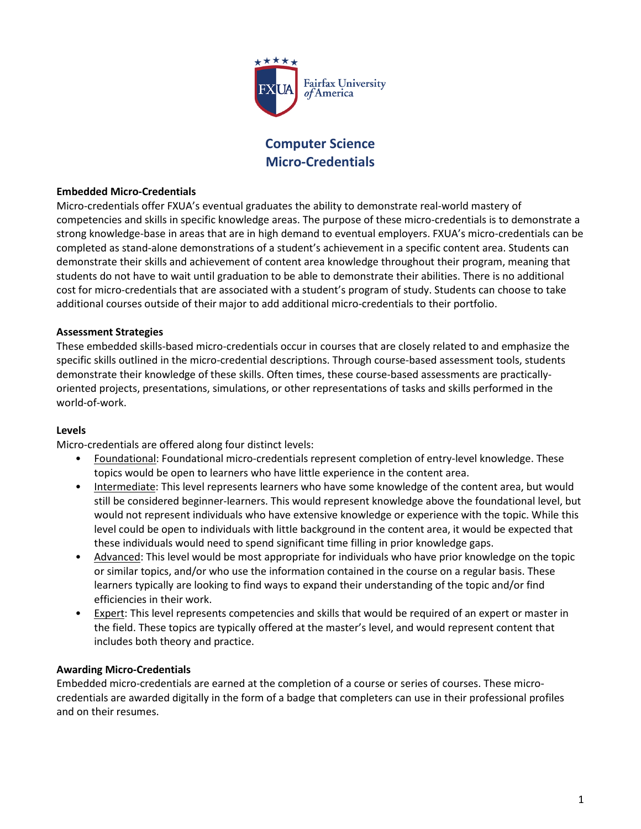

# **Computer Science Micro-Credentials**

#### **Embedded Micro-Credentials**

Micro-credentials offer FXUA's eventual graduates the ability to demonstrate real-world mastery of competencies and skills in specific knowledge areas. The purpose of these micro-credentials is to demonstrate a strong knowledge-base in areas that are in high demand to eventual employers. FXUA's micro-credentials can be completed as stand-alone demonstrations of a student's achievement in a specific content area. Students can demonstrate their skills and achievement of content area knowledge throughout their program, meaning that students do not have to wait until graduation to be able to demonstrate their abilities. There is no additional cost for micro-credentials that are associated with a student's program of study. Students can choose to take additional courses outside of their major to add additional micro-credentials to their portfolio.

#### **Assessment Strategies**

These embedded skills-based micro-credentials occur in courses that are closely related to and emphasize the specific skills outlined in the micro-credential descriptions. Through course-based assessment tools, students demonstrate their knowledge of these skills. Often times, these course-based assessments are practicallyoriented projects, presentations, simulations, or other representations of tasks and skills performed in the world-of-work.

#### **Levels**

Micro-credentials are offered along four distinct levels:

- Foundational: Foundational micro-credentials represent completion of entry-level knowledge. These topics would be open to learners who have little experience in the content area.
- Intermediate: This level represents learners who have some knowledge of the content area, but would still be considered beginner-learners. This would represent knowledge above the foundational level, but would not represent individuals who have extensive knowledge or experience with the topic. While this level could be open to individuals with little background in the content area, it would be expected that these individuals would need to spend significant time filling in prior knowledge gaps.
- Advanced: This level would be most appropriate for individuals who have prior knowledge on the topic or similar topics, and/or who use the information contained in the course on a regular basis. These learners typically are looking to find ways to expand their understanding of the topic and/or find efficiencies in their work.
- **Expert:** This level represents competencies and skills that would be required of an expert or master in the field. These topics are typically offered at the master's level, and would represent content that includes both theory and practice.

#### **Awarding Micro-Credentials**

Embedded micro-credentials are earned at the completion of a course or series of courses. These microcredentials are awarded digitally in the form of a badge that completers can use in their professional profiles and on their resumes.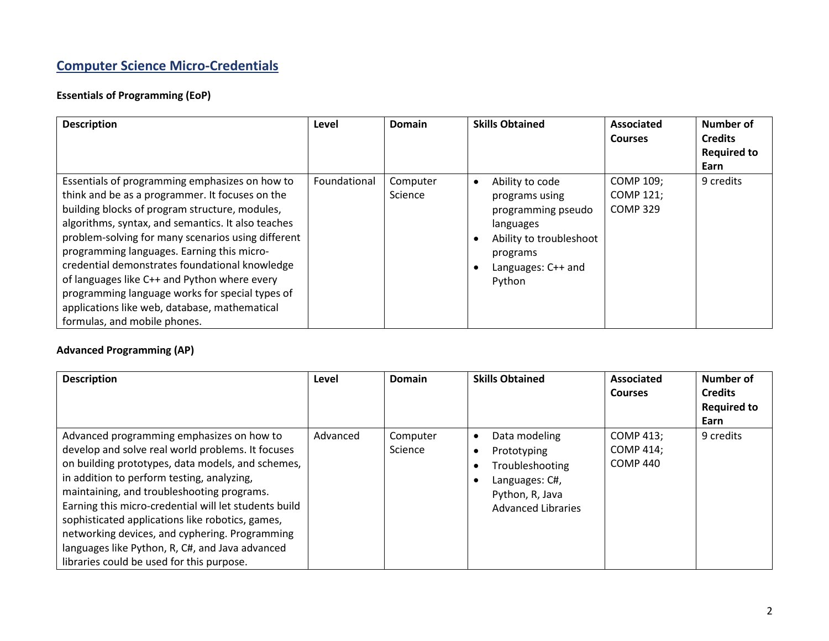# **Computer Science Micro-Credentials**

# **Essentials of Programming (EoP)**

| <b>Description</b>                                                                                                                                                                                                                                                                                                                                                                                                                                                                                                                                  | Level        | <b>Domain</b>       | <b>Skills Obtained</b>                                                                                                                      | <b>Associated</b><br><b>Courses</b>              | Number of<br><b>Credits</b><br><b>Required to</b><br>Earn |
|-----------------------------------------------------------------------------------------------------------------------------------------------------------------------------------------------------------------------------------------------------------------------------------------------------------------------------------------------------------------------------------------------------------------------------------------------------------------------------------------------------------------------------------------------------|--------------|---------------------|---------------------------------------------------------------------------------------------------------------------------------------------|--------------------------------------------------|-----------------------------------------------------------|
| Essentials of programming emphasizes on how to<br>think and be as a programmer. It focuses on the<br>building blocks of program structure, modules,<br>algorithms, syntax, and semantics. It also teaches<br>problem-solving for many scenarios using different<br>programming languages. Earning this micro-<br>credential demonstrates foundational knowledge<br>of languages like C++ and Python where every<br>programming language works for special types of<br>applications like web, database, mathematical<br>formulas, and mobile phones. | Foundational | Computer<br>Science | Ability to code<br>programs using<br>programming pseudo<br>languages<br>Ability to troubleshoot<br>programs<br>Languages: C++ and<br>Python | COMP 109;<br><b>COMP 121;</b><br><b>COMP 329</b> | 9 credits                                                 |

# **Advanced Programming (AP)**

| <b>Description</b>                                                                                                                                                                                                                                                                                                                                                                                                                                                                                             | Level    | <b>Domain</b>       | <b>Skills Obtained</b>                                                                                            | Associated<br><b>Courses</b>                     | Number of<br><b>Credits</b><br><b>Required to</b><br>Earn |
|----------------------------------------------------------------------------------------------------------------------------------------------------------------------------------------------------------------------------------------------------------------------------------------------------------------------------------------------------------------------------------------------------------------------------------------------------------------------------------------------------------------|----------|---------------------|-------------------------------------------------------------------------------------------------------------------|--------------------------------------------------|-----------------------------------------------------------|
| Advanced programming emphasizes on how to<br>develop and solve real world problems. It focuses<br>on building prototypes, data models, and schemes,<br>in addition to perform testing, analyzing,<br>maintaining, and troubleshooting programs.<br>Earning this micro-credential will let students build<br>sophisticated applications like robotics, games,<br>networking devices, and cyphering. Programming<br>languages like Python, R, C#, and Java advanced<br>libraries could be used for this purpose. | Advanced | Computer<br>Science | Data modeling<br>Prototyping<br>Troubleshooting<br>Languages: C#,<br>Python, R, Java<br><b>Advanced Libraries</b> | COMP 413;<br><b>COMP 414;</b><br><b>COMP 440</b> | 9 credits                                                 |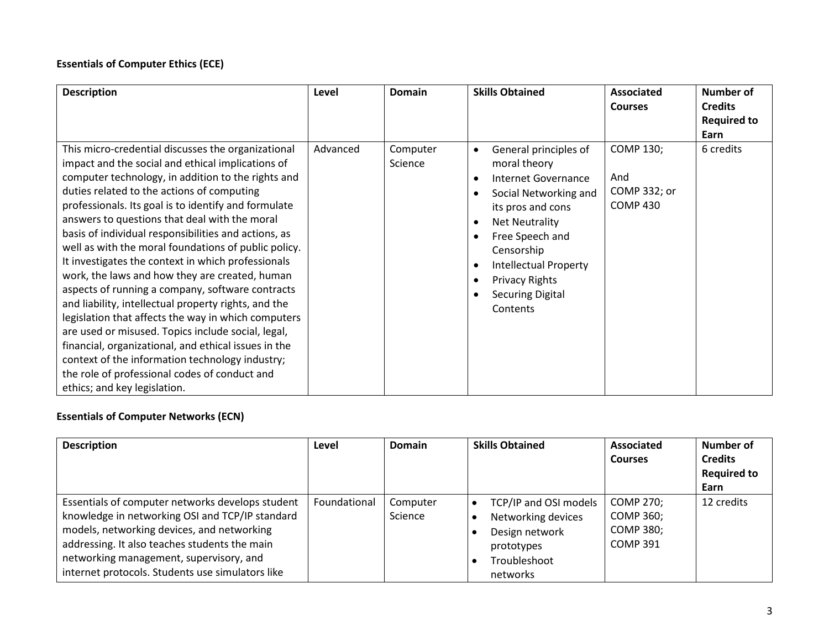# **Essentials of Computer Ethics (ECE)**

| <b>Description</b>                                                                                                                                                                                                                                                                                                                                                                                                                                                                                                                                                                                                                                                                                                                                                                                                                                                                                                                                                | Level    | Domain              | <b>Skills Obtained</b>                                                                                                                                                                                                                                                                                                                | <b>Associated</b><br><b>Courses</b>                        | <b>Number of</b><br><b>Credits</b><br><b>Required to</b><br>Earn |
|-------------------------------------------------------------------------------------------------------------------------------------------------------------------------------------------------------------------------------------------------------------------------------------------------------------------------------------------------------------------------------------------------------------------------------------------------------------------------------------------------------------------------------------------------------------------------------------------------------------------------------------------------------------------------------------------------------------------------------------------------------------------------------------------------------------------------------------------------------------------------------------------------------------------------------------------------------------------|----------|---------------------|---------------------------------------------------------------------------------------------------------------------------------------------------------------------------------------------------------------------------------------------------------------------------------------------------------------------------------------|------------------------------------------------------------|------------------------------------------------------------------|
| This micro-credential discusses the organizational<br>impact and the social and ethical implications of<br>computer technology, in addition to the rights and<br>duties related to the actions of computing<br>professionals. Its goal is to identify and formulate<br>answers to questions that deal with the moral<br>basis of individual responsibilities and actions, as<br>well as with the moral foundations of public policy.<br>It investigates the context in which professionals<br>work, the laws and how they are created, human<br>aspects of running a company, software contracts<br>and liability, intellectual property rights, and the<br>legislation that affects the way in which computers<br>are used or misused. Topics include social, legal,<br>financial, organizational, and ethical issues in the<br>context of the information technology industry;<br>the role of professional codes of conduct and<br>ethics; and key legislation. | Advanced | Computer<br>Science | General principles of<br>$\bullet$<br>moral theory<br>Internet Governance<br>$\bullet$<br>Social Networking and<br>its pros and cons<br><b>Net Neutrality</b><br>$\bullet$<br>Free Speech and<br>Censorship<br><b>Intellectual Property</b><br>$\bullet$<br><b>Privacy Rights</b><br>$\bullet$<br><b>Securing Digital</b><br>Contents | <b>COMP 130;</b><br>And<br>COMP 332; or<br><b>COMP 430</b> | 6 credits                                                        |

# **Essentials of Computer Networks (ECN)**

| <b>Description</b>                                                                                                                                                                                                                                                                                | Level        | <b>Domain</b>       | <b>Skills Obtained</b>                                                                                  | Associated<br><b>Courses</b>                                  | Number of<br><b>Credits</b><br><b>Required to</b><br>Earn |
|---------------------------------------------------------------------------------------------------------------------------------------------------------------------------------------------------------------------------------------------------------------------------------------------------|--------------|---------------------|---------------------------------------------------------------------------------------------------------|---------------------------------------------------------------|-----------------------------------------------------------|
| Essentials of computer networks develops student<br>knowledge in networking OSI and TCP/IP standard<br>models, networking devices, and networking<br>addressing. It also teaches students the main<br>networking management, supervisory, and<br>internet protocols. Students use simulators like | Foundational | Computer<br>Science | TCP/IP and OSI models<br>Networking devices<br>Design network<br>prototypes<br>Troubleshoot<br>networks | COMP 270;<br>COMP 360;<br><b>COMP 380;</b><br><b>COMP 391</b> | 12 credits                                                |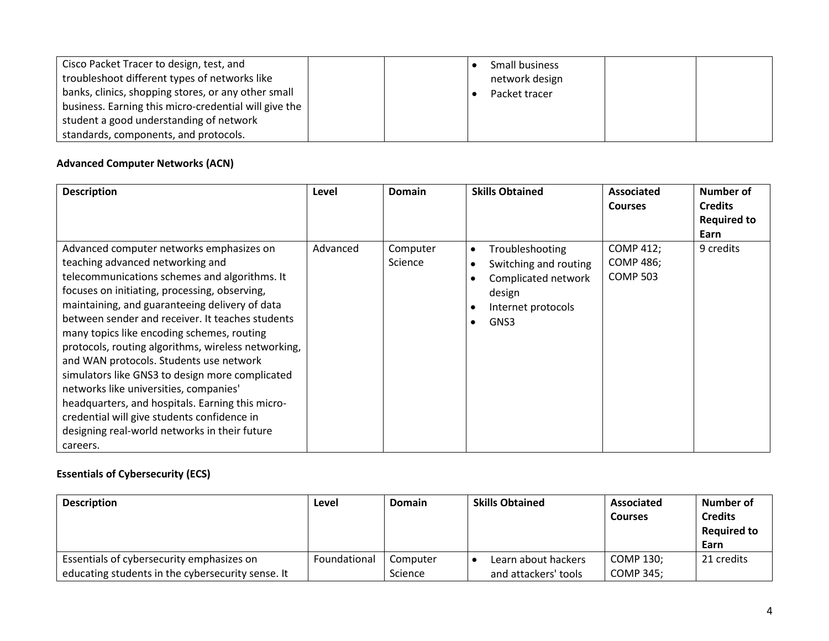| Cisco Packet Tracer to design, test, and              | Small business |
|-------------------------------------------------------|----------------|
| troubleshoot different types of networks like         | network design |
| banks, clinics, shopping stores, or any other small   | Packet tracer  |
| business. Earning this micro-credential will give the |                |
| student a good understanding of network               |                |
| standards, components, and protocols.                 |                |

### **Advanced Computer Networks (ACN)**

| <b>Description</b>                                                                                                                                                                                                                                                                                                                                                                                                                                                                                                                                                                                                                                                                                | Level    | Domain              | <b>Skills Obtained</b>                                                                                                            | <b>Associated</b><br><b>Courses</b>                     | Number of<br><b>Credits</b><br><b>Required to</b><br>Earn |
|---------------------------------------------------------------------------------------------------------------------------------------------------------------------------------------------------------------------------------------------------------------------------------------------------------------------------------------------------------------------------------------------------------------------------------------------------------------------------------------------------------------------------------------------------------------------------------------------------------------------------------------------------------------------------------------------------|----------|---------------------|-----------------------------------------------------------------------------------------------------------------------------------|---------------------------------------------------------|-----------------------------------------------------------|
| Advanced computer networks emphasizes on<br>teaching advanced networking and<br>telecommunications schemes and algorithms. It<br>focuses on initiating, processing, observing,<br>maintaining, and guaranteeing delivery of data<br>between sender and receiver. It teaches students<br>many topics like encoding schemes, routing<br>protocols, routing algorithms, wireless networking,<br>and WAN protocols. Students use network<br>simulators like GNS3 to design more complicated<br>networks like universities, companies'<br>headquarters, and hospitals. Earning this micro-<br>credential will give students confidence in<br>designing real-world networks in their future<br>careers. | Advanced | Computer<br>Science | Troubleshooting<br>$\bullet$<br>Switching and routing<br>Complicated network<br>design<br>Internet protocols<br>GNS3<br>$\bullet$ | <b>COMP 412;</b><br><b>COMP 486;</b><br><b>COMP 503</b> | 9 credits                                                 |

# **Essentials of Cybersecurity (ECS)**

| <b>Description</b>                                | Level        | <b>Domain</b> | <b>Skills Obtained</b> | Associated<br><b>Courses</b> | Number of<br><b>Credits</b><br><b>Required to</b><br>Earn |
|---------------------------------------------------|--------------|---------------|------------------------|------------------------------|-----------------------------------------------------------|
| Essentials of cybersecurity emphasizes on         | Foundational | Computer      | Learn about hackers    | COMP 130:                    | 21 credits                                                |
| educating students in the cybersecurity sense. It |              | Science       | and attackers' tools   | COMP 345;                    |                                                           |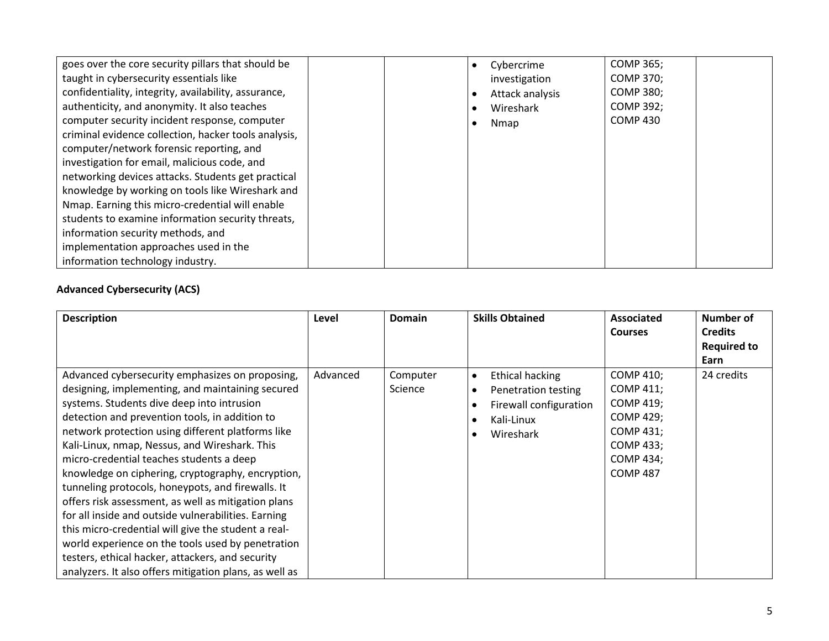| goes over the core security pillars that should be   | <b>COMP 365;</b><br>Cybercrime      |
|------------------------------------------------------|-------------------------------------|
| taught in cybersecurity essentials like              | <b>COMP 370;</b><br>investigation   |
| confidentiality, integrity, availability, assurance, | <b>COMP 380;</b><br>Attack analysis |
| authenticity, and anonymity. It also teaches         | <b>COMP 392;</b><br>Wireshark       |
| computer security incident response, computer        | <b>COMP 430</b><br>Nmap             |
| criminal evidence collection, hacker tools analysis, |                                     |
| computer/network forensic reporting, and             |                                     |
| investigation for email, malicious code, and         |                                     |
| networking devices attacks. Students get practical   |                                     |
| knowledge by working on tools like Wireshark and     |                                     |
| Nmap. Earning this micro-credential will enable      |                                     |
| students to examine information security threats,    |                                     |
| information security methods, and                    |                                     |
| implementation approaches used in the                |                                     |
| information technology industry.                     |                                     |

# **Advanced Cybersecurity (ACS)**

| <b>Description</b>                                                                                                                                                                                                                                                                                                                                                                                                                                                                                                                                                                                                                                                                                                                                                                                      | Level    | Domain              | <b>Skills Obtained</b>                                                                                                       | <b>Associated</b><br><b>Courses</b>                                                                                                           | Number of<br><b>Credits</b><br><b>Required to</b><br>Earn |
|---------------------------------------------------------------------------------------------------------------------------------------------------------------------------------------------------------------------------------------------------------------------------------------------------------------------------------------------------------------------------------------------------------------------------------------------------------------------------------------------------------------------------------------------------------------------------------------------------------------------------------------------------------------------------------------------------------------------------------------------------------------------------------------------------------|----------|---------------------|------------------------------------------------------------------------------------------------------------------------------|-----------------------------------------------------------------------------------------------------------------------------------------------|-----------------------------------------------------------|
| Advanced cybersecurity emphasizes on proposing,<br>designing, implementing, and maintaining secured<br>systems. Students dive deep into intrusion<br>detection and prevention tools, in addition to<br>network protection using different platforms like<br>Kali-Linux, nmap, Nessus, and Wireshark. This<br>micro-credential teaches students a deep<br>knowledge on ciphering, cryptography, encryption,<br>tunneling protocols, honeypots, and firewalls. It<br>offers risk assessment, as well as mitigation plans<br>for all inside and outside vulnerabilities. Earning<br>this micro-credential will give the student a real-<br>world experience on the tools used by penetration<br>testers, ethical hacker, attackers, and security<br>analyzers. It also offers mitigation plans, as well as | Advanced | Computer<br>Science | <b>Ethical hacking</b><br>$\bullet$<br>Penetration testing<br>$\bullet$<br>Firewall configuration<br>Kali-Linux<br>Wireshark | <b>COMP 410;</b><br><b>COMP 411;</b><br>COMP 419;<br><b>COMP 429;</b><br>COMP 431;<br><b>COMP 433;</b><br><b>COMP 434;</b><br><b>COMP 487</b> | 24 credits                                                |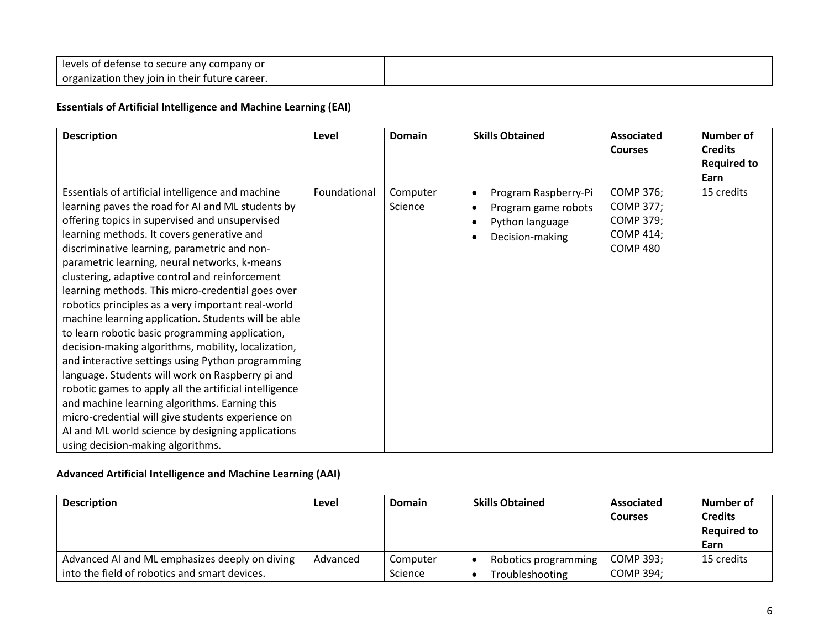| عاصرها<br>of defense to :<br>secure any company or $\,$      |  |  |  |
|--------------------------------------------------------------|--|--|--|
| organization<br>h their future career.<br>i thev ioin<br>-ir |  |  |  |

### **Essentials of Artificial Intelligence and Machine Learning (EAI)**

| <b>Description</b>                                                                                                                                                                                                                                                                                                                                                                                                                                                                                                                                                                                                                                                                                                                                                                                                                                                                                                                                                                                       | Level        | <b>Domain</b>       | <b>Skills Obtained</b>                                                                                                                | <b>Associated</b><br><b>Courses</b>                                                             | <b>Number of</b><br><b>Credits</b><br><b>Required to</b><br>Earn |
|----------------------------------------------------------------------------------------------------------------------------------------------------------------------------------------------------------------------------------------------------------------------------------------------------------------------------------------------------------------------------------------------------------------------------------------------------------------------------------------------------------------------------------------------------------------------------------------------------------------------------------------------------------------------------------------------------------------------------------------------------------------------------------------------------------------------------------------------------------------------------------------------------------------------------------------------------------------------------------------------------------|--------------|---------------------|---------------------------------------------------------------------------------------------------------------------------------------|-------------------------------------------------------------------------------------------------|------------------------------------------------------------------|
| Essentials of artificial intelligence and machine<br>learning paves the road for AI and ML students by<br>offering topics in supervised and unsupervised<br>learning methods. It covers generative and<br>discriminative learning, parametric and non-<br>parametric learning, neural networks, k-means<br>clustering, adaptive control and reinforcement<br>learning methods. This micro-credential goes over<br>robotics principles as a very important real-world<br>machine learning application. Students will be able<br>to learn robotic basic programming application,<br>decision-making algorithms, mobility, localization,<br>and interactive settings using Python programming<br>language. Students will work on Raspberry pi and<br>robotic games to apply all the artificial intelligence<br>and machine learning algorithms. Earning this<br>micro-credential will give students experience on<br>AI and ML world science by designing applications<br>using decision-making algorithms. | Foundational | Computer<br>Science | Program Raspberry-Pi<br>$\bullet$<br>Program game robots<br>$\bullet$<br>Python language<br>$\bullet$<br>Decision-making<br>$\bullet$ | <b>COMP 376;</b><br><b>COMP 377;</b><br><b>COMP 379;</b><br><b>COMP 414;</b><br><b>COMP 480</b> | 15 credits                                                       |

# **Advanced Artificial Intelligence and Machine Learning (AAI)**

| <b>Description</b>                                                                              | Level    | <b>Domain</b>       | <b>Skills Obtained</b>                  | Associated<br><b>Courses</b> | <b>Number of</b><br><b>Credits</b><br><b>Required to</b><br>Earn |
|-------------------------------------------------------------------------------------------------|----------|---------------------|-----------------------------------------|------------------------------|------------------------------------------------------------------|
| Advanced AI and ML emphasizes deeply on diving<br>into the field of robotics and smart devices. | Advanced | Computer<br>Science | Robotics programming<br>Troubleshooting | COMP 393:<br>COMP 394;       | 15 credits                                                       |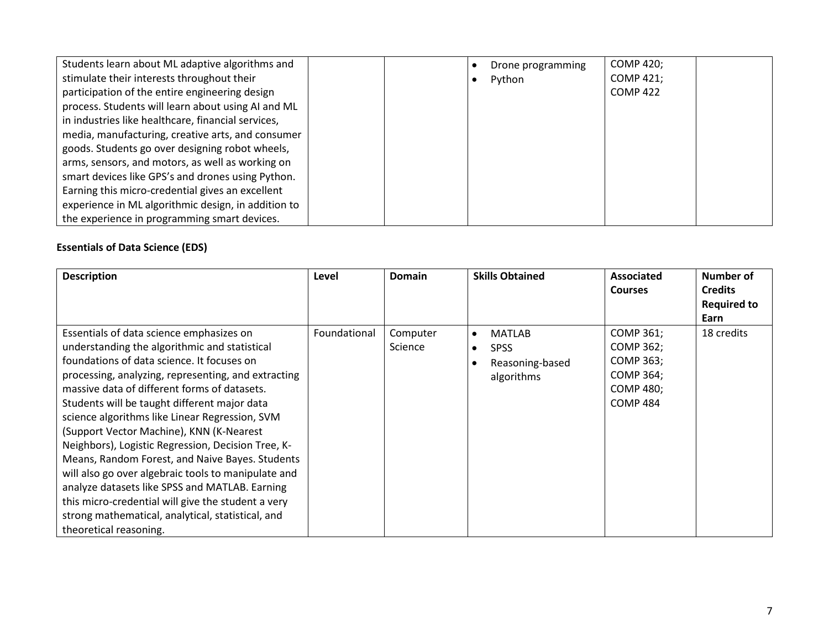| Students learn about ML adaptive algorithms and     |  | Drone programming | <b>COMP 420;</b> |  |
|-----------------------------------------------------|--|-------------------|------------------|--|
| stimulate their interests throughout their          |  | Python            | COMP 421;        |  |
| participation of the entire engineering design      |  |                   | <b>COMP 422</b>  |  |
| process. Students will learn about using AI and ML  |  |                   |                  |  |
| in industries like healthcare, financial services,  |  |                   |                  |  |
| media, manufacturing, creative arts, and consumer   |  |                   |                  |  |
| goods. Students go over designing robot wheels,     |  |                   |                  |  |
| arms, sensors, and motors, as well as working on    |  |                   |                  |  |
| smart devices like GPS's and drones using Python.   |  |                   |                  |  |
| Earning this micro-credential gives an excellent    |  |                   |                  |  |
| experience in ML algorithmic design, in addition to |  |                   |                  |  |
| the experience in programming smart devices.        |  |                   |                  |  |

# **Essentials of Data Science (EDS)**

| <b>Description</b>                                                                                                                                                                                                                                                                                                                                                                                                                                                                                                                                                                                                                                                   | Level        | Domain              | <b>Skills Obtained</b>                                                                               | Associated<br><b>Courses</b>                                                            | Number of<br><b>Credits</b><br><b>Required to</b> |
|----------------------------------------------------------------------------------------------------------------------------------------------------------------------------------------------------------------------------------------------------------------------------------------------------------------------------------------------------------------------------------------------------------------------------------------------------------------------------------------------------------------------------------------------------------------------------------------------------------------------------------------------------------------------|--------------|---------------------|------------------------------------------------------------------------------------------------------|-----------------------------------------------------------------------------------------|---------------------------------------------------|
|                                                                                                                                                                                                                                                                                                                                                                                                                                                                                                                                                                                                                                                                      |              |                     |                                                                                                      |                                                                                         | Earn                                              |
| Essentials of data science emphasizes on<br>understanding the algorithmic and statistical<br>foundations of data science. It focuses on<br>processing, analyzing, representing, and extracting<br>massive data of different forms of datasets.<br>Students will be taught different major data<br>science algorithms like Linear Regression, SVM<br>(Support Vector Machine), KNN (K-Nearest<br>Neighbors), Logistic Regression, Decision Tree, K-<br>Means, Random Forest, and Naive Bayes. Students<br>will also go over algebraic tools to manipulate and<br>analyze datasets like SPSS and MATLAB. Earning<br>this micro-credential will give the student a very | Foundational | Computer<br>Science | <b>MATLAB</b><br>$\bullet$<br><b>SPSS</b><br>$\bullet$<br>Reasoning-based<br>$\bullet$<br>algorithms | COMP 361;<br>COMP 362;<br>COMP 363;<br>COMP 364;<br><b>COMP 480;</b><br><b>COMP 484</b> | 18 credits                                        |
| strong mathematical, analytical, statistical, and<br>theoretical reasoning.                                                                                                                                                                                                                                                                                                                                                                                                                                                                                                                                                                                          |              |                     |                                                                                                      |                                                                                         |                                                   |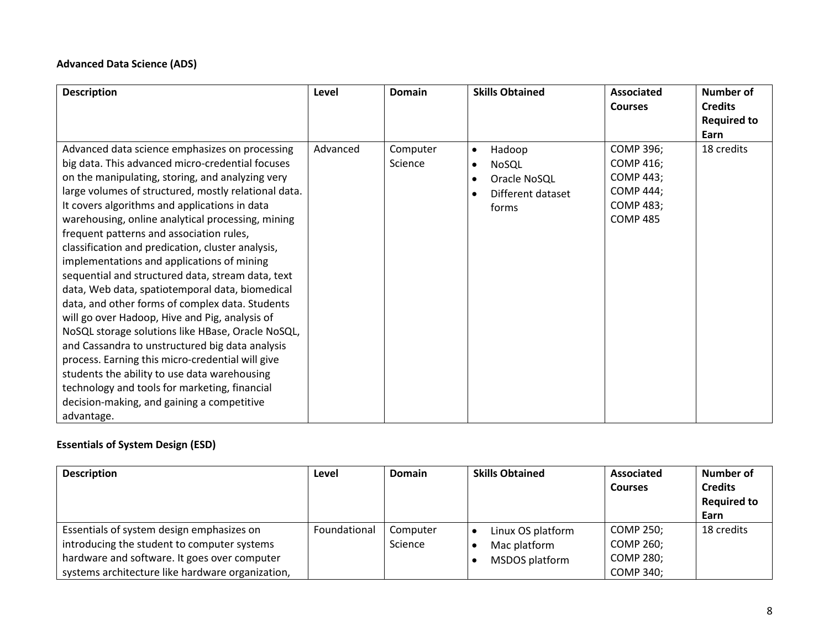### **Advanced Data Science (ADS)**

| <b>Description</b>                                                                                                                                                                                                                                                                                                                                                                                                                                                                                                                                                                                                                                                                                                                                                                                                                                                                                                                                                                                        | Level    | Domain              | <b>Skills Obtained</b>                                                                                            | <b>Associated</b><br><b>Courses</b>                                                                                 | <b>Number of</b><br><b>Credits</b><br><b>Required to</b><br>Earn |
|-----------------------------------------------------------------------------------------------------------------------------------------------------------------------------------------------------------------------------------------------------------------------------------------------------------------------------------------------------------------------------------------------------------------------------------------------------------------------------------------------------------------------------------------------------------------------------------------------------------------------------------------------------------------------------------------------------------------------------------------------------------------------------------------------------------------------------------------------------------------------------------------------------------------------------------------------------------------------------------------------------------|----------|---------------------|-------------------------------------------------------------------------------------------------------------------|---------------------------------------------------------------------------------------------------------------------|------------------------------------------------------------------|
| Advanced data science emphasizes on processing<br>big data. This advanced micro-credential focuses<br>on the manipulating, storing, and analyzing very<br>large volumes of structured, mostly relational data.<br>It covers algorithms and applications in data<br>warehousing, online analytical processing, mining<br>frequent patterns and association rules,<br>classification and predication, cluster analysis,<br>implementations and applications of mining<br>sequential and structured data, stream data, text<br>data, Web data, spatiotemporal data, biomedical<br>data, and other forms of complex data. Students<br>will go over Hadoop, Hive and Pig, analysis of<br>NoSQL storage solutions like HBase, Oracle NoSQL,<br>and Cassandra to unstructured big data analysis<br>process. Earning this micro-credential will give<br>students the ability to use data warehousing<br>technology and tools for marketing, financial<br>decision-making, and gaining a competitive<br>advantage. | Advanced | Computer<br>Science | Hadoop<br>$\bullet$<br>NoSQL<br>$\bullet$<br>Oracle NoSQL<br>$\bullet$<br>Different dataset<br>$\bullet$<br>forms | <b>COMP 396;</b><br><b>COMP 416;</b><br><b>COMP 443;</b><br><b>COMP 444;</b><br><b>COMP 483;</b><br><b>COMP 485</b> | 18 credits                                                       |

# **Essentials of System Design (ESD)**

| <b>Description</b>                                                                                                                                                                           | Level        | <b>Domain</b>       | <b>Skills Obtained</b>                              | <b>Associated</b><br><b>Courses</b>                            | Number of<br><b>Credits</b><br><b>Required to</b><br>Earn |
|----------------------------------------------------------------------------------------------------------------------------------------------------------------------------------------------|--------------|---------------------|-----------------------------------------------------|----------------------------------------------------------------|-----------------------------------------------------------|
| Essentials of system design emphasizes on<br>introducing the student to computer systems<br>hardware and software. It goes over computer<br>systems architecture like hardware organization, | Foundational | Computer<br>Science | Linux OS platform<br>Mac platform<br>MSDOS platform | COMP 250;<br>COMP 260;<br><b>COMP 280;</b><br><b>COMP 340;</b> | 18 credits                                                |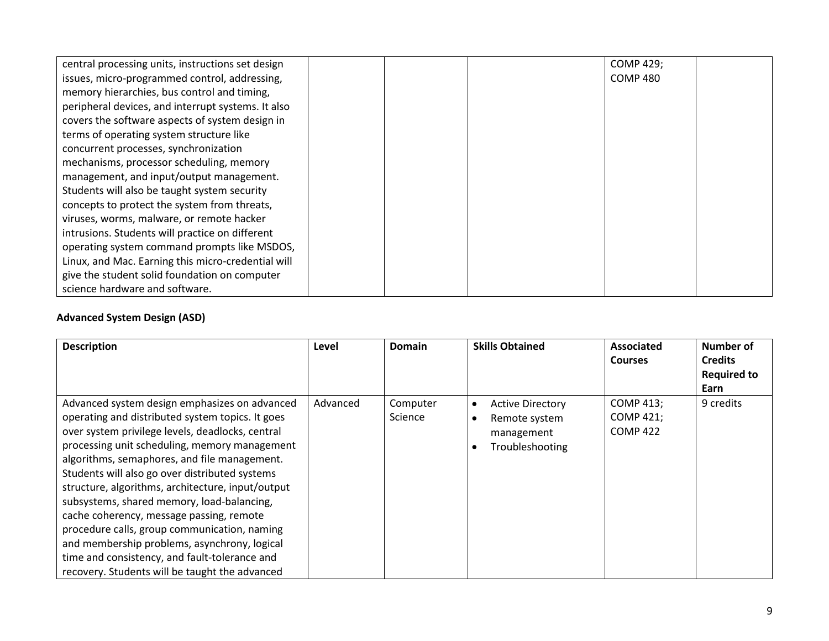| central processing units, instructions set design  |  | COMP 429;       |  |
|----------------------------------------------------|--|-----------------|--|
| issues, micro-programmed control, addressing,      |  | <b>COMP 480</b> |  |
| memory hierarchies, bus control and timing,        |  |                 |  |
| peripheral devices, and interrupt systems. It also |  |                 |  |
| covers the software aspects of system design in    |  |                 |  |
| terms of operating system structure like           |  |                 |  |
| concurrent processes, synchronization              |  |                 |  |
| mechanisms, processor scheduling, memory           |  |                 |  |
| management, and input/output management.           |  |                 |  |
| Students will also be taught system security       |  |                 |  |
| concepts to protect the system from threats,       |  |                 |  |
| viruses, worms, malware, or remote hacker          |  |                 |  |
| intrusions. Students will practice on different    |  |                 |  |
| operating system command prompts like MSDOS,       |  |                 |  |
| Linux, and Mac. Earning this micro-credential will |  |                 |  |
| give the student solid foundation on computer      |  |                 |  |
| science hardware and software.                     |  |                 |  |

### **Advanced System Design (ASD)**

| <b>Description</b>                                                                                                                                                                                                                                                                                                                                                                                                                                                                                                                                                                                                                                         | Level    | Domain              | <b>Skills Obtained</b>                                                                 | Associated<br><b>Courses</b>                     | Number of<br><b>Credits</b><br><b>Required to</b><br>Earn |
|------------------------------------------------------------------------------------------------------------------------------------------------------------------------------------------------------------------------------------------------------------------------------------------------------------------------------------------------------------------------------------------------------------------------------------------------------------------------------------------------------------------------------------------------------------------------------------------------------------------------------------------------------------|----------|---------------------|----------------------------------------------------------------------------------------|--------------------------------------------------|-----------------------------------------------------------|
| Advanced system design emphasizes on advanced<br>operating and distributed system topics. It goes<br>over system privilege levels, deadlocks, central<br>processing unit scheduling, memory management<br>algorithms, semaphores, and file management.<br>Students will also go over distributed systems<br>structure, algorithms, architecture, input/output<br>subsystems, shared memory, load-balancing,<br>cache coherency, message passing, remote<br>procedure calls, group communication, naming<br>and membership problems, asynchrony, logical<br>time and consistency, and fault-tolerance and<br>recovery. Students will be taught the advanced | Advanced | Computer<br>Science | <b>Active Directory</b><br>$\bullet$<br>Remote system<br>management<br>Troubleshooting | <b>COMP 413;</b><br>COMP 421;<br><b>COMP 422</b> | 9 credits                                                 |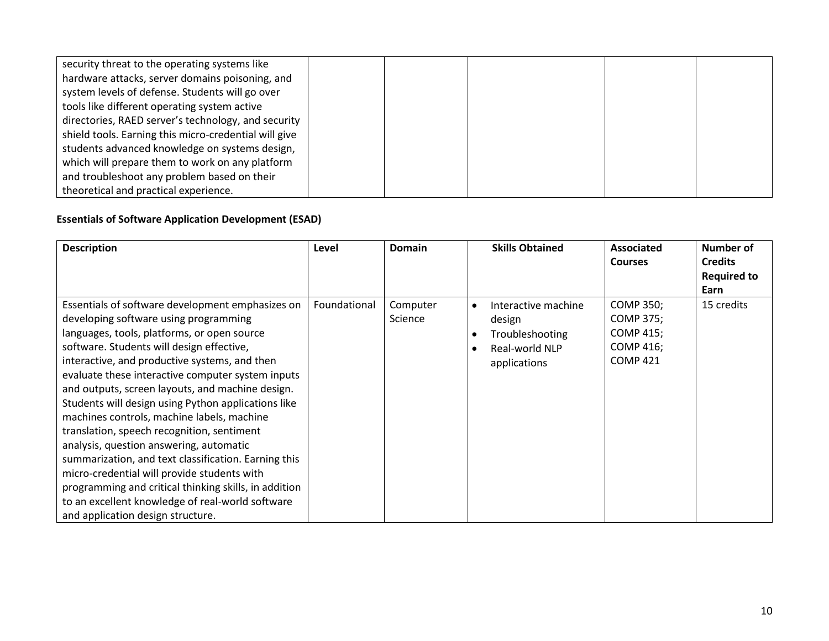| security threat to the operating systems like         |  |  |  |
|-------------------------------------------------------|--|--|--|
| hardware attacks, server domains poisoning, and       |  |  |  |
| system levels of defense. Students will go over       |  |  |  |
| tools like different operating system active          |  |  |  |
| directories, RAED server's technology, and security   |  |  |  |
| shield tools. Earning this micro-credential will give |  |  |  |
| students advanced knowledge on systems design,        |  |  |  |
| which will prepare them to work on any platform       |  |  |  |
| and troubleshoot any problem based on their           |  |  |  |
| theoretical and practical experience.                 |  |  |  |

# **Essentials of Software Application Development (ESAD)**

| <b>Description</b>                                                                                                                                                                                                                                                                                                                                                                                                                                                                                                                                                                                                                                                                                                                                                                                     | Level        | Domain              | <b>Skills Obtained</b>                                                                                                    | <b>Associated</b><br><b>Courses</b>                                        | Number of<br><b>Credits</b><br><b>Required to</b><br>Earn |
|--------------------------------------------------------------------------------------------------------------------------------------------------------------------------------------------------------------------------------------------------------------------------------------------------------------------------------------------------------------------------------------------------------------------------------------------------------------------------------------------------------------------------------------------------------------------------------------------------------------------------------------------------------------------------------------------------------------------------------------------------------------------------------------------------------|--------------|---------------------|---------------------------------------------------------------------------------------------------------------------------|----------------------------------------------------------------------------|-----------------------------------------------------------|
| Essentials of software development emphasizes on<br>developing software using programming<br>languages, tools, platforms, or open source<br>software. Students will design effective,<br>interactive, and productive systems, and then<br>evaluate these interactive computer system inputs<br>and outputs, screen layouts, and machine design.<br>Students will design using Python applications like<br>machines controls, machine labels, machine<br>translation, speech recognition, sentiment<br>analysis, question answering, automatic<br>summarization, and text classification. Earning this<br>micro-credential will provide students with<br>programming and critical thinking skills, in addition<br>to an excellent knowledge of real-world software<br>and application design structure. | Foundational | Computer<br>Science | Interactive machine<br>$\bullet$<br>design<br>Troubleshooting<br>$\bullet$<br>Real-world NLP<br>$\bullet$<br>applications | COMP 350;<br>COMP 375;<br><b>COMP 415;</b><br>COMP 416;<br><b>COMP 421</b> | 15 credits                                                |